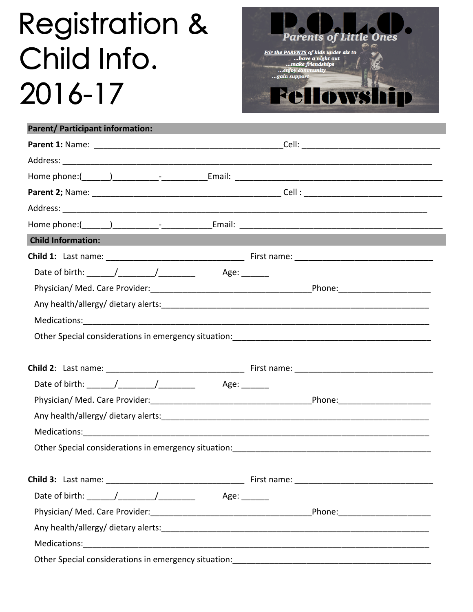## **Registration &** Child Info. 2016-17



| Parent/ Participant information:                     |                                                                                         |
|------------------------------------------------------|-----------------------------------------------------------------------------------------|
|                                                      |                                                                                         |
|                                                      |                                                                                         |
|                                                      |                                                                                         |
|                                                      |                                                                                         |
|                                                      |                                                                                         |
|                                                      |                                                                                         |
| <b>Child Information:</b>                            |                                                                                         |
|                                                      |                                                                                         |
|                                                      |                                                                                         |
|                                                      |                                                                                         |
|                                                      |                                                                                         |
|                                                      |                                                                                         |
|                                                      |                                                                                         |
|                                                      |                                                                                         |
|                                                      |                                                                                         |
|                                                      |                                                                                         |
|                                                      |                                                                                         |
|                                                      |                                                                                         |
|                                                      |                                                                                         |
|                                                      |                                                                                         |
|                                                      |                                                                                         |
|                                                      |                                                                                         |
| Date of birth: ______/_________/__________           | Age:                                                                                    |
|                                                      |                                                                                         |
|                                                      | Any health/allergy/dietary alerts: All Any Alexander Any health/allergy/dietary alerts: |
|                                                      |                                                                                         |
| Other Special considerations in emergency situation: |                                                                                         |